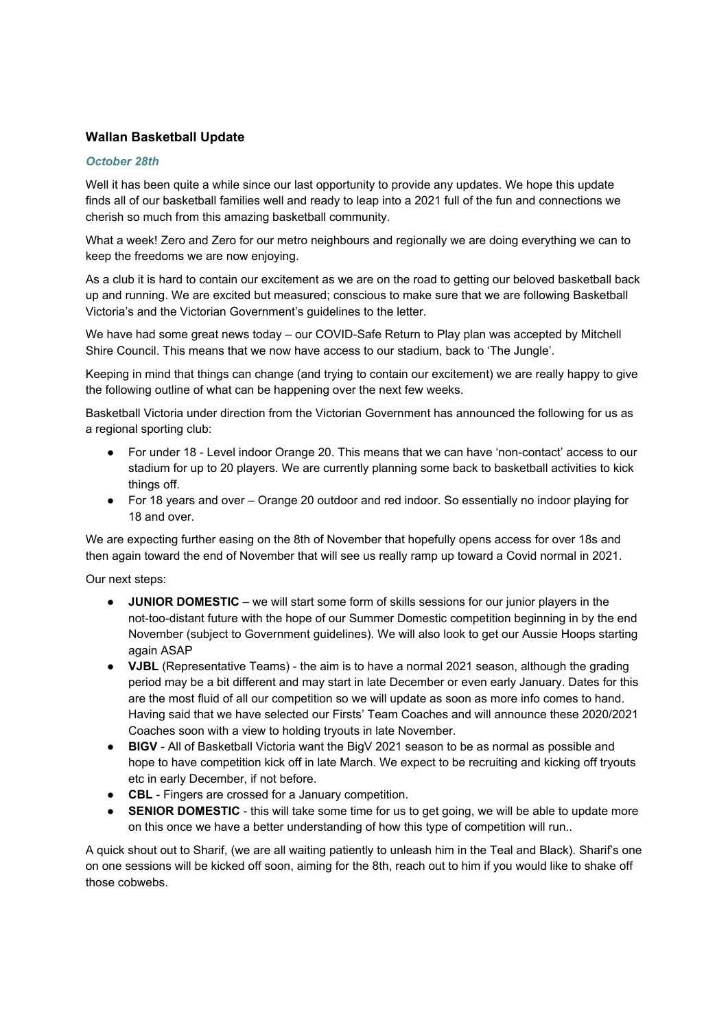# **Wallan Basketball Update**

### **October 28th**

Well it has been quite a while since our last opportunity to provide any updates. We hope this update finds all of our basketball families well and ready to leap into a 2021 full of the fun and connections we cherish so much from this amazing basketball community.

What a week! Zero and Zero for our metro neighbours and regionally we are doing everything we can to keep the freedoms we are now enjoying.

As a club it is hard to contain our excitement as we are on the road to getting our beloved basketball back up and running. We are excited but measured; conscious to make sure that we are following Basketball Victoria's and the Victorian Government's guidelines to the letter.

We have had some great news today - our COVID-Safe Return to Play plan was accepted by Mitchell Shire Council. This means that we now have access to our stadium, back to 'The Jungle'.

Keeping in mind that things can change (and trying to contain our excitement) we are really happy to give the following outline of what can be happening over the next few weeks.

Basketball Victoria under direction from the Victorian Government has announced the following for us as a regional sporting club:

- For under 18 Level indoor Orange 20. This means that we can have 'non-contact' access to our stadium for up to 20 players. We are currently planning some back to basketball activities to kick things off.
- For 18 years and over Orange 20 outdoor and red indoor. So essentially no indoor playing for 18 and over.

We are expecting further easing on the 8th of November that hopefully opens access for over 18s and then again toward the end of November that will see us really ramp up toward a Covid normal in 2021.

Our next steps:

- JUNIOR DOMESTIC we will start some form of skills sessions for our junior players in the not-too-distant future with the hope of our Summer Domestic competition beginning in by the end November (subject to Government guidelines). We will also look to get our Aussie Hoops starting again ASAP
- VJBL (Representative Teams) the aim is to have a normal 2021 season, although the grading period may be a bit different and may start in late December or even early January. Dates for this are the most fluid of all our competition so we will update as soon as more info comes to hand. Having said that we have selected our Firsts' Team Coaches and will announce these 2020/2021 Coaches soon with a view to holding tryouts in late November.
- BIGV All of Basketball Victoria want the BigV 2021 season to be as normal as possible and hope to have competition kick off in late March. We expect to be recruiting and kicking off tryouts etc in early December, if not before.
- CBL Fingers are crossed for a January competition.
- SENIOR DOMESTIC this will take some time for us to get going, we will be able to update more on this once we have a better understanding of how this type of competition will run..

A quick shout out to Sharif, (we are all waiting patiently to unleash him in the Teal and Black). Sharif's one on one sessions will be kicked off soon, aiming for the 8th, reach out to him if you would like to shake off those cobwebs.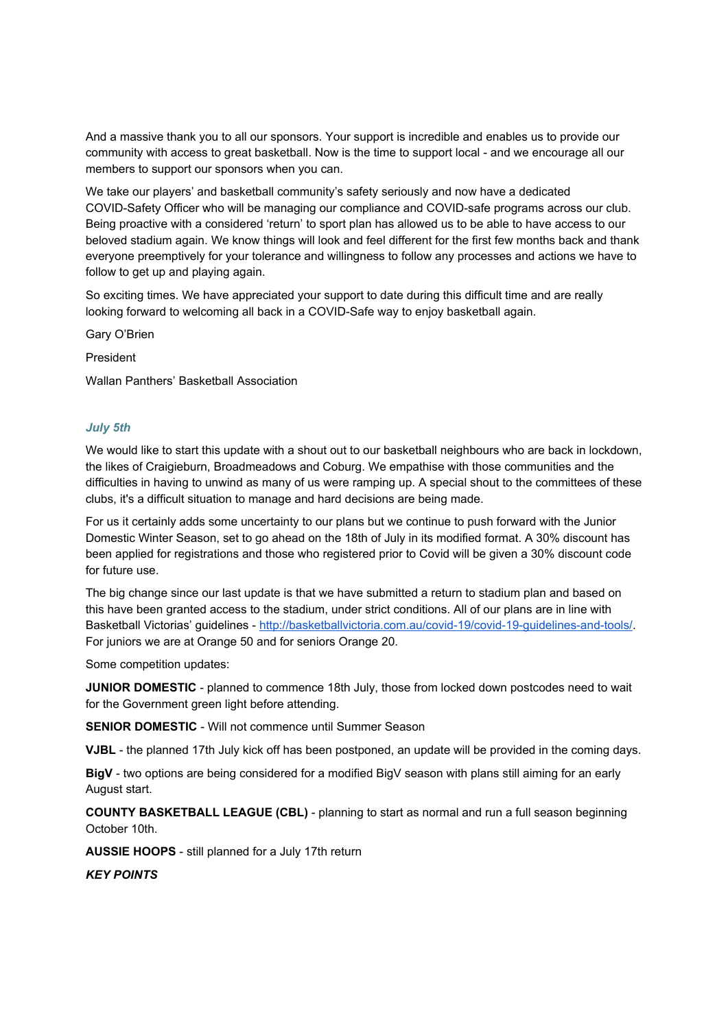And a massive thank you to all our sponsors. Your support is incredible and enables us to provide our community with access to great basketball. Now is the time to support local - and we encourage all our members to support our sponsors when you can.

We take our players' and basketball community's safety seriously and now have a dedicated COVID-Safety Officer who will be managing our compliance and COVID-safe programs across our club. Being proactive with a considered 'return' to sport plan has allowed us to be able to have access to our beloved stadium again. We know things will look and feel different for the first few months back and thank everyone preemptively for your tolerance and willingness to follow any processes and actions we have to follow to get up and playing again.

So exciting times. We have appreciated your support to date during this difficult time and are really looking forward to welcoming all back in a COVID-Safe way to enjoy basketball again.

Gary O'Brien

President

Wallan Panthers' Basketball Association

#### **July 5th**

We would like to start this update with a shout out to our basketball neighbours who are back in lockdown, the likes of Craigieburn, Broadmeadows and Coburg. We empathise with those communities and the difficulties in having to unwind as many of us were ramping up. A special shout to the committees of these clubs, it's a difficult situation to manage and hard decisions are being made.

For us it certainly adds some uncertainty to our plans but we continue to push forward with the Junior Domestic Winter Season, set to go ahead on the 18th of July in its modified format. A 30% discount has been applied for registrations and those who registered prior to Covid will be given a 30% discount code for future use.

The big change since our last update is that we have submitted a return to stadium plan and based on this have been granted access to the stadium, under strict conditions. All of our plans are in line with Basketball Victorias' guidelines - http://basketballvictoria.com.au/covid-19/covid-19-guidelines-and-tools/. For juniors we are at Orange 50 and for seniors Orange 20.

Some competition updates:

JUNIOR DOMESTIC - planned to commence 18th July, those from locked down postcodes need to wait for the Government green light before attending.

**SENIOR DOMESTIC** - Will not commence until Summer Season

VJBL - the planned 17th July kick off has been postponed, an update will be provided in the coming days.

BigV - two options are being considered for a modified BigV season with plans still aiming for an early August start.

**COUNTY BASKETBALL LEAGUE (CBL)** - planning to start as normal and run a full season beginning October 10th.

AUSSIE HOOPS - still planned for a July 17th return

**KEY POINTS**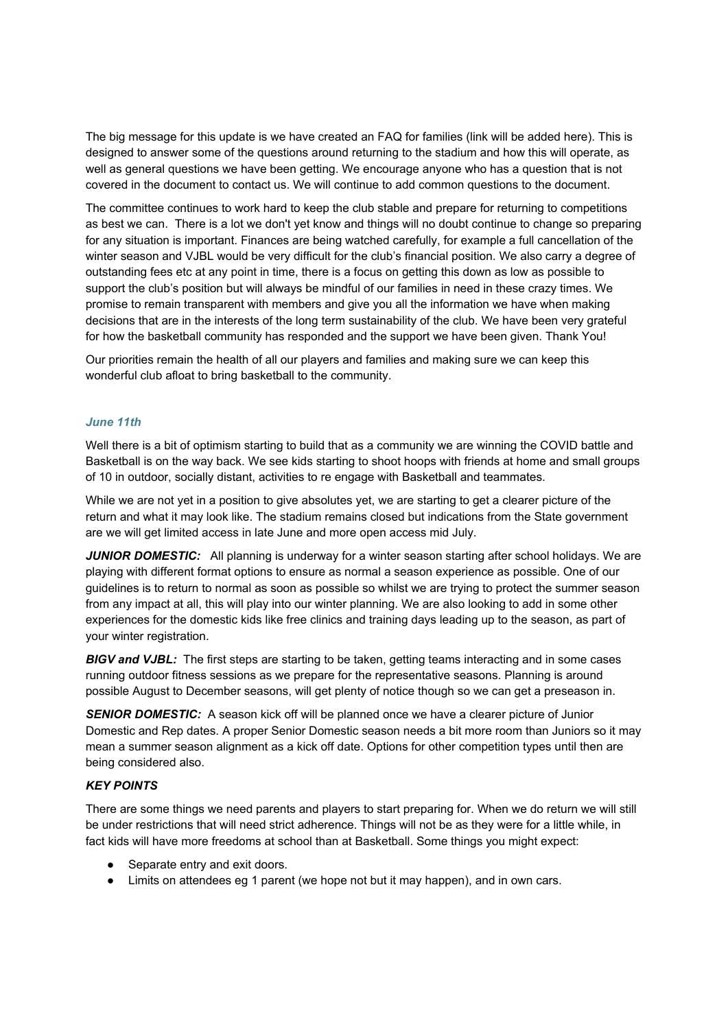The big message for this update is we have created an FAQ for families (link will be added here). This is designed to answer some of the questions around returning to the stadium and how this will operate, as well as general questions we have been getting. We encourage anyone who has a question that is not covered in the document to contact us. We will continue to add common questions to the document.

The committee continues to work hard to keep the club stable and prepare for returning to competitions as best we can. There is a lot we don't yet know and things will no doubt continue to change so preparing for any situation is important. Finances are being watched carefully, for example a full cancellation of the winter season and VJBL would be very difficult for the club's financial position. We also carry a degree of outstanding fees etc at any point in time, there is a focus on getting this down as low as possible to support the club's position but will always be mindful of our families in need in these crazy times. We promise to remain transparent with members and give you all the information we have when making decisions that are in the interests of the long term sustainability of the club. We have been very grateful for how the basketball community has responded and the support we have been given. Thank You!

Our priorities remain the health of all our players and families and making sure we can keep this wonderful club afloat to bring basketball to the community.

### June 11th

Well there is a bit of optimism starting to build that as a community we are winning the COVID battle and Basketball is on the way back. We see kids starting to shoot hoops with friends at home and small groups of 10 in outdoor, socially distant, activities to re engage with Basketball and teammates.

While we are not yet in a position to give absolutes yet, we are starting to get a clearer picture of the return and what it may look like. The stadium remains closed but indications from the State government are we will get limited access in late June and more open access mid July.

JUNIOR DOMESTIC: All planning is underway for a winter season starting after school holidays. We are playing with different format options to ensure as normal a season experience as possible. One of our guidelines is to return to normal as soon as possible so whilst we are trying to protect the summer season from any impact at all, this will play into our winter planning. We are also looking to add in some other experiences for the domestic kids like free clinics and training days leading up to the season, as part of your winter registration.

**BIGV and VJBL:** The first steps are starting to be taken, getting teams interacting and in some cases running outdoor fitness sessions as we prepare for the representative seasons. Planning is around possible August to December seasons, will get plenty of notice though so we can get a preseason in.

**SENIOR DOMESTIC:** A season kick off will be planned once we have a clearer picture of Junior Domestic and Rep dates. A proper Senior Domestic season needs a bit more room than Juniors so it may mean a summer season alignment as a kick off date. Options for other competition types until then are being considered also.

### **KEY POINTS**

There are some things we need parents and players to start preparing for. When we do return we will still be under restrictions that will need strict adherence. Things will not be as they were for a little while, in fact kids will have more freedoms at school than at Basketball. Some things you might expect:

- Separate entry and exit doors.
- Limits on attendees eg 1 parent (we hope not but it may happen), and in own cars.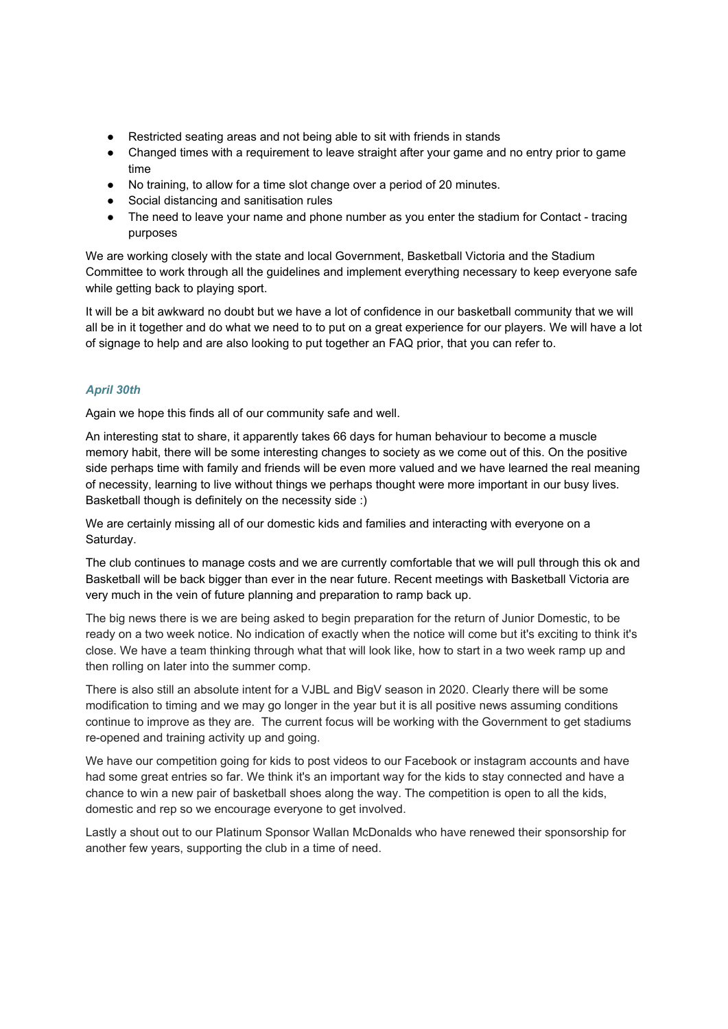- Restricted seating areas and not being able to sit with friends in stands
- Changed times with a requirement to leave straight after your game and no entry prior to game time
- No training, to allow for a time slot change over a period of 20 minutes.
- Social distancing and sanitisation rules
- The need to leave your name and phone number as you enter the stadium for Contact tracing purposes

We are working closely with the state and local Government, Basketball Victoria and the Stadium Committee to work through all the guidelines and implement everything necessary to keep everyone safe while getting back to playing sport.

It will be a bit awkward no doubt but we have a lot of confidence in our basketball community that we will all be in it together and do what we need to to put on a great experience for our players. We will have a lot of signage to help and are also looking to put together an FAQ prior, that you can refer to.

# **April 30th**

Again we hope this finds all of our community safe and well.

An interesting stat to share, it apparently takes 66 days for human behaviour to become a muscle memory habit, there will be some interesting changes to society as we come out of this. On the positive side perhaps time with family and friends will be even more valued and we have learned the real meaning of necessity, learning to live without things we perhaps thought were more important in our busy lives. Basketball though is definitely on the necessity side :)

We are certainly missing all of our domestic kids and families and interacting with everyone on a Saturday.

The club continues to manage costs and we are currently comfortable that we will pull through this ok and Basketball will be back bigger than ever in the near future. Recent meetings with Basketball Victoria are very much in the vein of future planning and preparation to ramp back up.

The big news there is we are being asked to begin preparation for the return of Junior Domestic, to be ready on a two week notice. No indication of exactly when the notice will come but it's exciting to think it's close. We have a team thinking through what that will look like, how to start in a two week ramp up and then rolling on later into the summer comp.

There is also still an absolute intent for a VJBL and BigV season in 2020. Clearly there will be some modification to timing and we may go longer in the year but it is all positive news assuming conditions continue to improve as they are. The current focus will be working with the Government to get stadiums re-opened and training activity up and going.

We have our competition going for kids to post videos to our Facebook or instagram accounts and have had some great entries so far. We think it's an important way for the kids to stay connected and have a chance to win a new pair of basketball shoes along the way. The competition is open to all the kids, domestic and rep so we encourage everyone to get involved.

Lastly a shout out to our Platinum Sponsor Wallan McDonalds who have renewed their sponsorship for another few years, supporting the club in a time of need.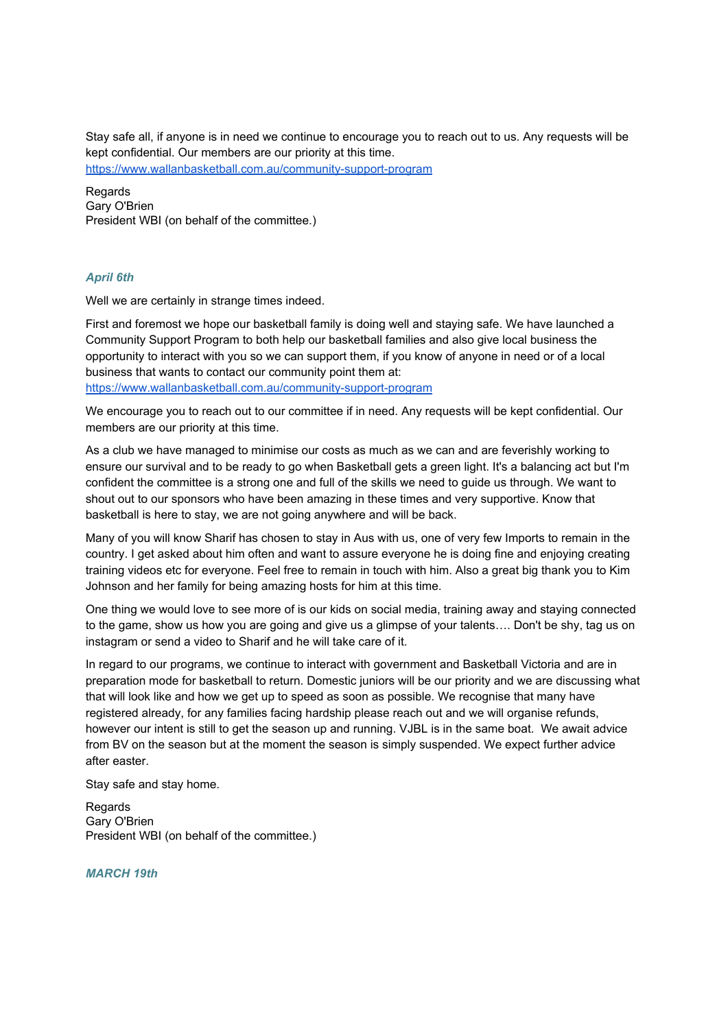Stay safe all, if anyone is in need we continue to encourage you to reach out to us. Any requests will be kept confidential. Our members are our priority at this time.

https://www.wallanbasketball.com.au/community-support-program

Regards Gary O'Brien President WBI (on behalf of the committee.)

### **April 6th**

Well we are certainly in strange times indeed.

First and foremost we hope our basketball family is doing well and staying safe. We have launched a Community Support Program to both help our basketball families and also give local business the opportunity to interact with you so we can support them, if you know of anyone in need or of a local business that wants to contact our community point them at: https://www.wallanbasketball.com.au/community-support-program

We encourage you to reach out to our committee if in need. Any requests will be kept confidential. Our members are our priority at this time.

As a club we have managed to minimise our costs as much as we can and are feverishly working to ensure our survival and to be ready to go when Basketball gets a green light. It's a balancing act but I'm confident the committee is a strong one and full of the skills we need to guide us through. We want to shout out to our sponsors who have been amazing in these times and very supportive. Know that basketball is here to stay, we are not going anywhere and will be back.

Many of you will know Sharif has chosen to stay in Aus with us, one of very few Imports to remain in the country. I get asked about him often and want to assure everyone he is doing fine and enjoying creating training videos etc for everyone. Feel free to remain in touch with him. Also a great big thank you to Kim Johnson and her family for being amazing hosts for him at this time.

One thing we would love to see more of is our kids on social media, training away and staying connected to the game, show us how you are going and give us a glimpse of your talents.... Don't be shy, tag us on instagram or send a video to Sharif and he will take care of it.

In regard to our programs, we continue to interact with government and Basketball Victoria and are in preparation mode for basketball to return. Domestic juniors will be our priority and we are discussing what that will look like and how we get up to speed as soon as possible. We recognise that many have registered already, for any families facing hardship please reach out and we will organise refunds, however our intent is still to get the season up and running. VJBL is in the same boat. We await advice from BV on the season but at the moment the season is simply suspended. We expect further advice after easter.

Stay safe and stay home.

Regards Gary O'Brien President WBI (on behalf of the committee.)

**MARCH 19th**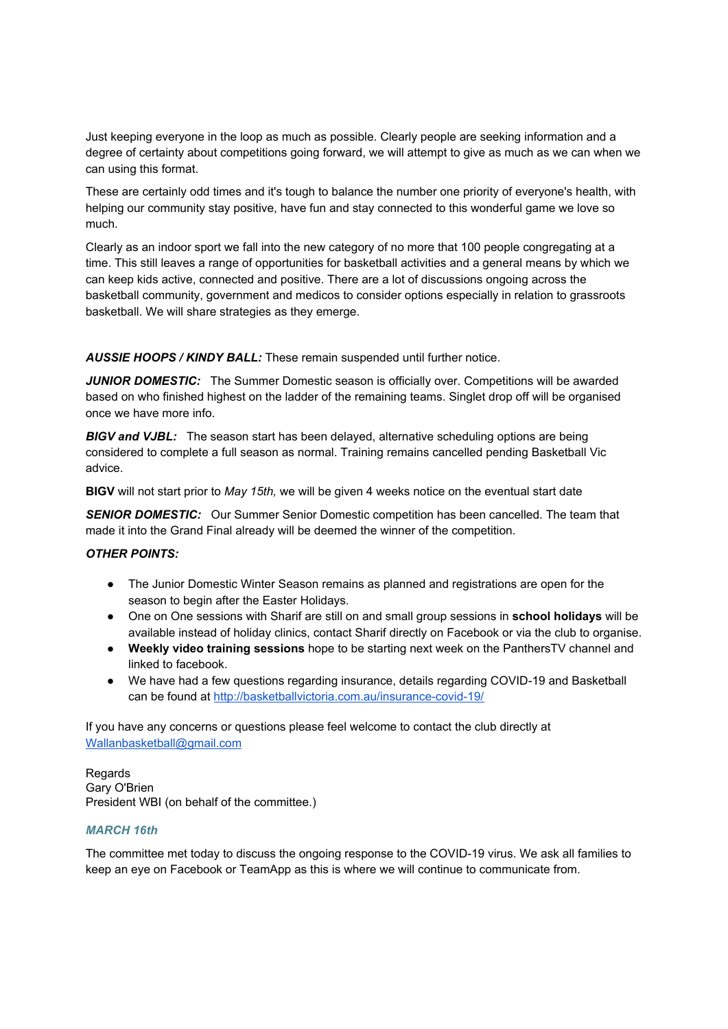Just keeping everyone in the loop as much as possible. Clearly people are seeking information and a degree of certainty about competitions going forward, we will attempt to give as much as we can when we can using this format.

These are certainly odd times and it's tough to balance the number one priority of everyone's health, with helping our community stay positive, have fun and stay connected to this wonderful game we love so much

Clearly as an indoor sport we fall into the new category of no more that 100 people congregating at a time. This still leaves a range of opportunities for basketball activities and a general means by which we can keep kids active, connected and positive. There are a lot of discussions ongoing across the basketball community, government and medicos to consider options especially in relation to grassroots basketball. We will share strategies as they emerge.

**AUSSIE HOOPS / KINDY BALL:** These remain suspended until further notice.

JUNIOR DOMESTIC: The Summer Domestic season is officially over. Competitions will be awarded based on who finished highest on the ladder of the remaining teams. Singlet drop off will be organised once we have more info

**BIGV and VJBL:** The season start has been delayed, alternative scheduling options are being considered to complete a full season as normal. Training remains cancelled pending Basketball Vic advice.

BIGV will not start prior to May 15th, we will be given 4 weeks notice on the eventual start date

**SENIOR DOMESTIC:** Our Summer Senior Domestic competition has been cancelled. The team that made it into the Grand Final already will be deemed the winner of the competition.

### **OTHER POINTS:**

- The Junior Domestic Winter Season remains as planned and registrations are open for the season to begin after the Easter Holidays.
- One on One sessions with Sharif are still on and small group sessions in school holidays will be available instead of holiday clinics, contact Sharif directly on Facebook or via the club to organise.
- Weekly video training sessions hope to be starting next week on the PanthersTV channel and linked to facebook.
- We have had a few questions regarding insurance, details regarding COVID-19 and Basketball can be found at http://basketballvictoria.com.au/insurance-covid-19/

If you have any concerns or questions please feel welcome to contact the club directly at Wallanbasketball@gmail.com

Regards Gary O'Brien President WBI (on behalf of the committee.)

### **MARCH 16th**

The committee met today to discuss the ongoing response to the COVID-19 virus. We ask all families to keep an eye on Facebook or TeamApp as this is where we will continue to communicate from.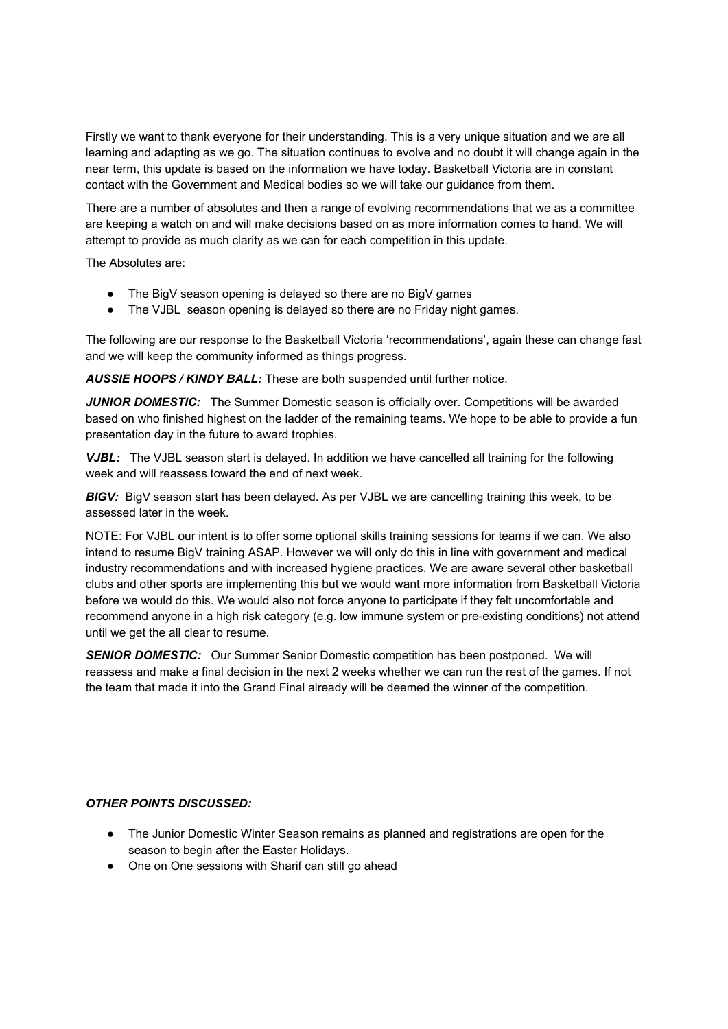Firstly we want to thank everyone for their understanding. This is a very unique situation and we are all learning and adapting as we go. The situation continues to evolve and no doubt it will change again in the near term, this update is based on the information we have today. Basketball Victoria are in constant contact with the Government and Medical bodies so we will take our quidance from them.

There are a number of absolutes and then a range of evolving recommendations that we as a committee are keeping a watch on and will make decisions based on as more information comes to hand. We will attempt to provide as much clarity as we can for each competition in this update.

The Absolutes are:

- The BigV season opening is delayed so there are no BigV games
- The VJBL season opening is delayed so there are no Friday night games.

The following are our response to the Basketball Victoria 'recommendations', again these can change fast and we will keep the community informed as things progress.

AUSSIE HOOPS / KINDY BALL: These are both suspended until further notice.

JUNIOR DOMESTIC: The Summer Domestic season is officially over. Competitions will be awarded based on who finished highest on the ladder of the remaining teams. We hope to be able to provide a fun presentation day in the future to award trophies.

VJBL: The VJBL season start is delayed. In addition we have cancelled all training for the following week and will reassess toward the end of next week.

BIGV: BigV season start has been delayed. As per VJBL we are cancelling training this week, to be assessed later in the week.

NOTE: For VJBL our intent is to offer some optional skills training sessions for teams if we can. We also intend to resume BigV training ASAP. However we will only do this in line with government and medical industry recommendations and with increased hygiene practices. We are aware several other basketball clubs and other sports are implementing this but we would want more information from Basketball Victoria before we would do this. We would also not force anyone to participate if they felt uncomfortable and recommend anyone in a high risk category (e.g. low immune system or pre-existing conditions) not attend until we get the all clear to resume.

**SENIOR DOMESTIC:** Our Summer Senior Domestic competition has been postponed. We will reassess and make a final decision in the next 2 weeks whether we can run the rest of the games. If not the team that made it into the Grand Final already will be deemed the winner of the competition.

### **OTHER POINTS DISCUSSED:**

- The Junior Domestic Winter Season remains as planned and registrations are open for the season to begin after the Easter Holidays.
- One on One sessions with Sharif can still go ahead